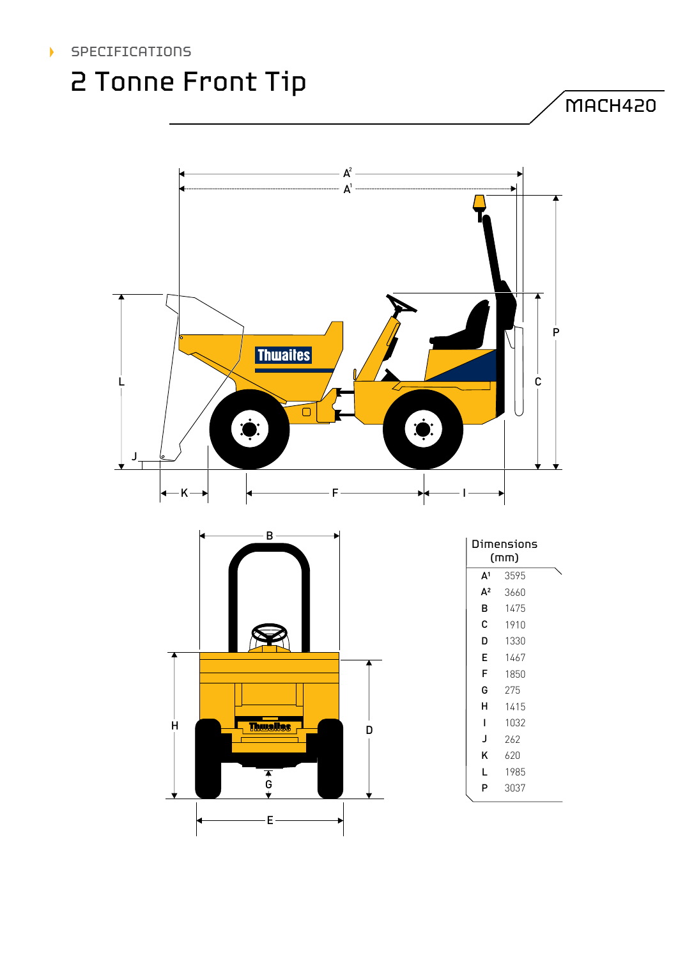### SPECIFICATIONS

## 2 Tonne Front Tip

MACH420